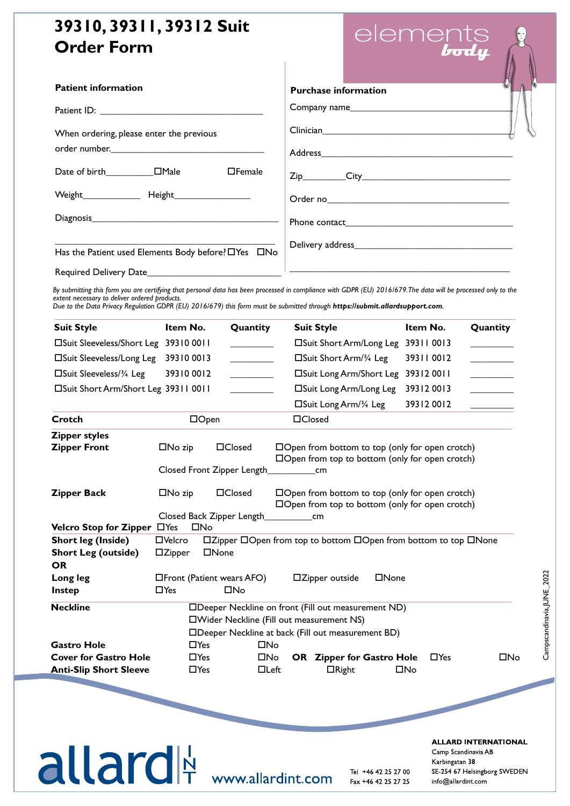## **39310, 39311, 39312 Suit Order Form**

| element        |
|----------------|
| $\overline{I}$ |

| <b>Patient information</b>                          |            |               | <b>Purchase information</b>                                                                                                                                                                                                                                                                    |            |                                                                                                                       |  |
|-----------------------------------------------------|------------|---------------|------------------------------------------------------------------------------------------------------------------------------------------------------------------------------------------------------------------------------------------------------------------------------------------------|------------|-----------------------------------------------------------------------------------------------------------------------|--|
|                                                     |            |               |                                                                                                                                                                                                                                                                                                |            |                                                                                                                       |  |
| When ordering, please enter the previous            |            |               |                                                                                                                                                                                                                                                                                                |            |                                                                                                                       |  |
|                                                     |            | $\Box$ Female |                                                                                                                                                                                                                                                                                                |            |                                                                                                                       |  |
|                                                     |            |               |                                                                                                                                                                                                                                                                                                |            |                                                                                                                       |  |
|                                                     |            |               |                                                                                                                                                                                                                                                                                                |            |                                                                                                                       |  |
| Has the Patient used Elements Body before? OYes ONo |            |               |                                                                                                                                                                                                                                                                                                |            |                                                                                                                       |  |
|                                                     |            |               |                                                                                                                                                                                                                                                                                                |            |                                                                                                                       |  |
| extent necessary to deliver ordered products.       |            |               | By submitting this form you are certifying that personal data has been processed in compliance with GDPR (EU) 2016/679. The data will be processed only to the<br>Due to the Data Privacy Regulation GDPR (EU) 2016/679) this form must be submitted through https://submit.allardsupport.com. |            |                                                                                                                       |  |
| <b>Suit Style</b>                                   | Item No.   | Quantity      | <b>Suit Style</b>                                                                                                                                                                                                                                                                              | Item No.   | Quantity                                                                                                              |  |
| □Suit Sleeveless/Short Leg 39310 0011               |            |               | □Suit Short Arm/Long Leg 39311 0013                                                                                                                                                                                                                                                            |            |                                                                                                                       |  |
| □Suit Sleeveless/Long Leg                           | 39310 0013 |               | $\square$ Suit Short Arm/ $\frac{3}{4}$ Leg                                                                                                                                                                                                                                                    | 39311 0012 | <u> La Carlo de Santa de la Carlo de Santa de Santa de la Carlo de Santa de la Carlo de La Carlo de La Carlo de L</u> |  |
| $\square$ Suit Sleeveless/ $\frac{3}{4}$ Leg        | 39310 0012 |               | □Suit Long Arm/Short Leg 39312 0011                                                                                                                                                                                                                                                            |            |                                                                                                                       |  |
| □Suit Short Arm/Short Leg 39311 0011                |            |               | □Suit Long Arm/Long Leg                                                                                                                                                                                                                                                                        | 39312 0013 |                                                                                                                       |  |

|                                    |                                                                                | $\Box$ Suit Long Arm/3/4 Leg<br>39312 0012                                                                                                                                                                                     |  |  |  |
|------------------------------------|--------------------------------------------------------------------------------|--------------------------------------------------------------------------------------------------------------------------------------------------------------------------------------------------------------------------------|--|--|--|
| $\Box$ Open<br>Crotch              |                                                                                | □Closed                                                                                                                                                                                                                        |  |  |  |
| <b>Zipper styles</b>               |                                                                                |                                                                                                                                                                                                                                |  |  |  |
| <b>Zipper Front</b>                | $\Box$ Closed<br>$\square$ No zip                                              | $\Box$ Open from bottom to top (only for open crotch)                                                                                                                                                                          |  |  |  |
|                                    |                                                                                | $\Box$ Open from top to bottom (only for open crotch)                                                                                                                                                                          |  |  |  |
|                                    | Closed Front Zipper Length_                                                    | and the contract of the contract of the contract of the contract of the contract of the contract of the contract of the contract of the contract of the contract of the contract of the contract of the contract of the contra |  |  |  |
| <b>Zipper Back</b>                 | $\Box$ Closed<br>$\Box$ No zip                                                 | $\Box$ Open from bottom to top (only for open crotch)                                                                                                                                                                          |  |  |  |
|                                    |                                                                                | $\Box$ Open from top to bottom (only for open crotch)                                                                                                                                                                          |  |  |  |
|                                    | Closed Back Zipper Length_                                                     | cm                                                                                                                                                                                                                             |  |  |  |
| <b>Velcro Stop for Zipper</b> □Yes | $\square$ No                                                                   |                                                                                                                                                                                                                                |  |  |  |
| <b>Short leg (Inside)</b>          | □Zipper □Open from top to bottom □Open from bottom to top □None<br>□Velcro     |                                                                                                                                                                                                                                |  |  |  |
| <b>Short Leg (outside)</b>         | □None<br>$\Box$ Zipper                                                         |                                                                                                                                                                                                                                |  |  |  |
| <b>OR</b>                          |                                                                                |                                                                                                                                                                                                                                |  |  |  |
| Long leg                           | $\Box$ Front (Patient wears AFO)<br>$\square$ Zipper outside<br>$\square$ None |                                                                                                                                                                                                                                |  |  |  |
| <b>Instep</b>                      | $\square$ No<br>$\Box$ Yes                                                     |                                                                                                                                                                                                                                |  |  |  |
| <b>Neckline</b>                    |                                                                                | □Deeper Neckline on front (Fill out measurement ND)                                                                                                                                                                            |  |  |  |
|                                    | □Wider Neckline (Fill out measurement NS)                                      |                                                                                                                                                                                                                                |  |  |  |
|                                    |                                                                                | □Deeper Neckline at back (Fill out measurement BD)                                                                                                                                                                             |  |  |  |
| <b>Gastro Hole</b>                 | $\Box$ Yes                                                                     | $\square$ No                                                                                                                                                                                                                   |  |  |  |
| <b>Cover for Gastro Hole</b>       | $\Box$ Yes                                                                     | □No<br>$\Box$ Yes<br>□No<br><b>OR</b> Zipper for Gastro Hole                                                                                                                                                                   |  |  |  |
| <b>Anti-Slip Short Sleeve</b>      | $\Box$ Yes                                                                     | $\Box$ Left<br>$\square$ No<br>$\Box$ Right                                                                                                                                                                                    |  |  |  |
|                                    |                                                                                |                                                                                                                                                                                                                                |  |  |  |
|                                    |                                                                                |                                                                                                                                                                                                                                |  |  |  |

# Tel **LLCII UI**T

**ALLARD INTERNATIONAL**  $\alpha$ <sub>D</sub>  $\alpha$ <sub>D</sub>  $\kappa$ arbingatan 38  $\kappa$ info@camp.se info@camp.org info@camp.org info@camp.org info@camp.org info@camp.org info@camp.no/2022-2023-2023-